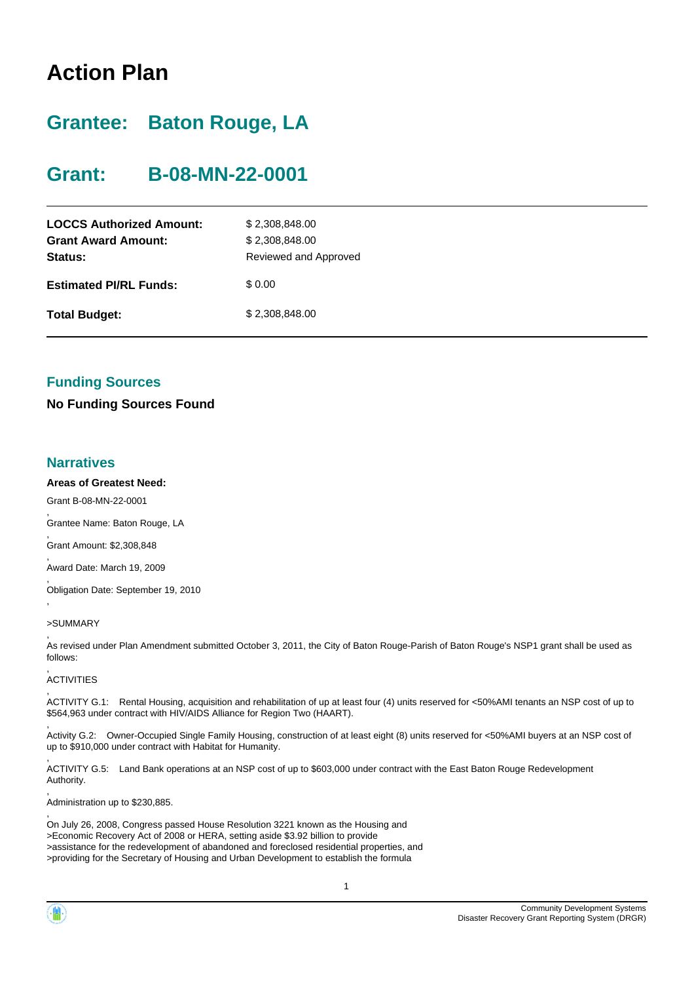# **Action Plan**

# **Grantee: Baton Rouge, LA**

## **Grant: B-08-MN-22-0001**

| <b>LOCCS Authorized Amount:</b><br><b>Grant Award Amount:</b><br>Status: | \$2,308,848.00<br>\$2,308,848.00<br>Reviewed and Approved |
|--------------------------------------------------------------------------|-----------------------------------------------------------|
| <b>Estimated PI/RL Funds:</b>                                            | \$ 0.00                                                   |
| <b>Total Budget:</b>                                                     | \$2,308,848.00                                            |

## **Funding Sources**

**No Funding Sources Found**

### **Narratives**

,

,

,

,

,

#### **Areas of Greatest Need:**

Grant B-08-MN-22-0001

Grantee Name: Baton Rouge, LA

, Grant Amount: \$2,308,848

, Award Date: March 19, 2009

Obligation Date: September 19, 2010

#### >SUMMARY

, As revised under Plan Amendment submitted October 3, 2011, the City of Baton Rouge-Parish of Baton Rouge's NSP1 grant shall be used as follows:

#### , **ACTIVITIES**

, ACTIVITY G.1: Rental Housing, acquisition and rehabilitation of up at least four (4) units reserved for <50%AMI tenants an NSP cost of up to \$564,963 under contract with HIV/AIDS Alliance for Region Two (HAART).

, Activity G.2: Owner-Occupied Single Family Housing, construction of at least eight (8) units reserved for <50%AMI buyers at an NSP cost of up to \$910,000 under contract with Habitat for Humanity.

ACTIVITY G.5: Land Bank operations at an NSP cost of up to \$603,000 under contract with the East Baton Rouge Redevelopment Authority.

, Administration up to \$230,885.

On July 26, 2008, Congress passed House Resolution 3221 known as the Housing and >Economic Recovery Act of 2008 or HERA, setting aside \$3.92 billion to provide >assistance for the redevelopment of abandoned and foreclosed residential properties, and >providing for the Secretary of Housing and Urban Development to establish the formula

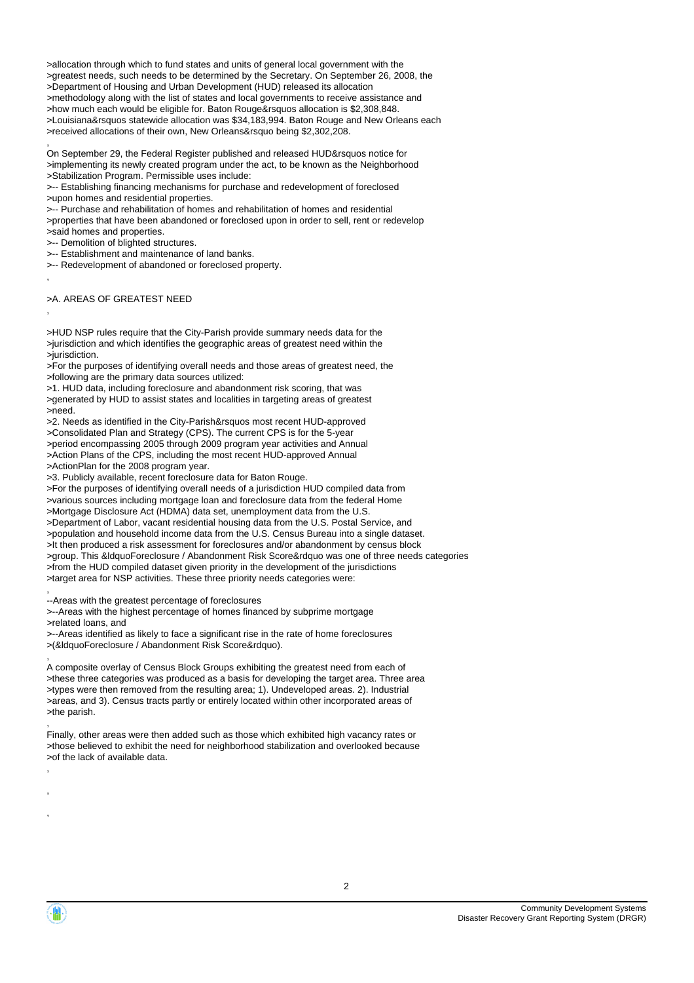>allocation through which to fund states and units of general local government with the >greatest needs, such needs to be determined by the Secretary. On September 26, 2008, the >Department of Housing and Urban Development (HUD) released its allocation >methodology along with the list of states and local governments to receive assistance and >how much each would be eligible for. Baton Rouge&rsquos allocation is \$2,308,848. >Louisiana&rsquos statewide allocation was \$34,183,994. Baton Rouge and New Orleans each >received allocations of their own, New Orleans&rsquo being \$2,302,208.

, On September 29, the Federal Register published and released HUD&rsquos notice for >implementing its newly created program under the act, to be known as the Neighborhood >Stabilization Program. Permissible uses include:

>-- Establishing financing mechanisms for purchase and redevelopment of foreclosed >upon homes and residential properties.

>-- Purchase and rehabilitation of homes and rehabilitation of homes and residential

>properties that have been abandoned or foreclosed upon in order to sell, rent or redevelop

>said homes and properties.

>-- Demolition of blighted structures.

>-- Establishment and maintenance of land banks.

>-- Redevelopment of abandoned or foreclosed property.

,

,

>A. AREAS OF GREATEST NEED

>HUD NSP rules require that the City-Parish provide summary needs data for the >jurisdiction and which identifies the geographic areas of greatest need within the >jurisdiction.

>For the purposes of identifying overall needs and those areas of greatest need, the >following are the primary data sources utilized:

>1. HUD data, including foreclosure and abandonment risk scoring, that was

>generated by HUD to assist states and localities in targeting areas of greatest >need.

>2. Needs as identified in the City-Parish&rsquos most recent HUD-approved >Consolidated Plan and Strategy (CPS). The current CPS is for the 5-year >period encompassing 2005 through 2009 program year activities and Annual >Action Plans of the CPS, including the most recent HUD-approved Annual >ActionPlan for the 2008 program year.

>3. Publicly available, recent foreclosure data for Baton Rouge.

>For the purposes of identifying overall needs of a jurisdiction HUD compiled data from >various sources including mortgage loan and foreclosure data from the federal Home >Mortgage Disclosure Act (HDMA) data set, unemployment data from the U.S. >Department of Labor, vacant residential housing data from the U.S. Postal Service, and >population and household income data from the U.S. Census Bureau into a single dataset. >It then produced a risk assessment for foreclosures and/or abandonment by census block >group. This &ldquoForeclosure / Abandonment Risk Score&rdquo was one of three needs categories >from the HUD compiled dataset given priority in the development of the jurisdictions >target area for NSP activities. These three priority needs categories were:

, --Areas with the greatest percentage of foreclosures

>--Areas with the highest percentage of homes financed by subprime mortgage >related loans, and

>--Areas identified as likely to face a significant rise in the rate of home foreclosures >(&ldquoForeclosure / Abandonment Risk Score&rdquo).

A composite overlay of Census Block Groups exhibiting the greatest need from each of >these three categories was produced as a basis for developing the target area. Three area >types were then removed from the resulting area; 1). Undeveloped areas. 2). Industrial >areas, and 3). Census tracts partly or entirely located within other incorporated areas of >the parish.

, Finally, other areas were then added such as those which exhibited high vacancy rates or >those believed to exhibit the need for neighborhood stabilization and overlooked because >of the lack of available data.



,

, , ,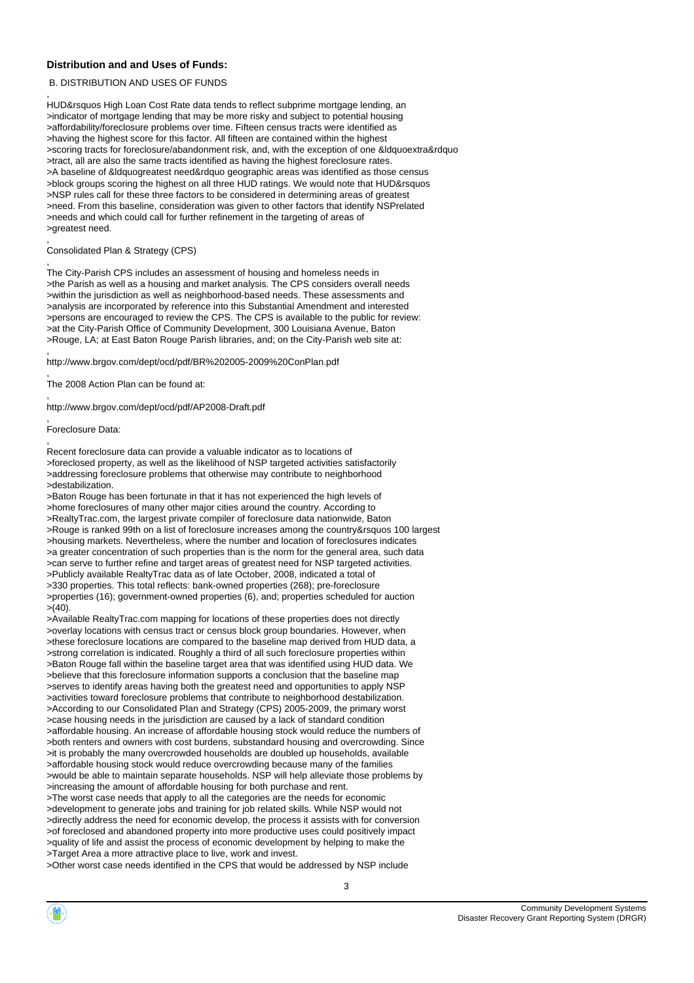#### **Distribution and and Uses of Funds:**

#### B. DISTRIBUTION AND USES OF FUNDS

,

HUD&rsquos High Loan Cost Rate data tends to reflect subprime mortgage lending, an >indicator of mortgage lending that may be more risky and subject to potential housing >affordability/foreclosure problems over time. Fifteen census tracts were identified as >having the highest score for this factor. All fifteen are contained within the highest >scoring tracts for foreclosure/abandonment risk, and, with the exception of one &ldquoextra&rdquo >tract, all are also the same tracts identified as having the highest foreclosure rates. >A baseline of &ldquogreatest need&rdquo geographic areas was identified as those census >block groups scoring the highest on all three HUD ratings. We would note that HUD&rsquos >NSP rules call for these three factors to be considered in determining areas of greatest >need. From this baseline, consideration was given to other factors that identify NSPrelated >needs and which could call for further refinement in the targeting of areas of >greatest need.

#### , Consolidated Plan & Strategy (CPS)

, The City-Parish CPS includes an assessment of housing and homeless needs in >the Parish as well as a housing and market analysis. The CPS considers overall needs >within the jurisdiction as well as neighborhood-based needs. These assessments and >analysis are incorporated by reference into this Substantial Amendment and interested >persons are encouraged to review the CPS. The CPS is available to the public for review: >at the City-Parish Office of Community Development, 300 Louisiana Avenue, Baton >Rouge, LA; at East Baton Rouge Parish libraries, and; on the City-Parish web site at:

, http://www.brgov.com/dept/ocd/pdf/BR%202005-2009%20ConPlan.pdf

, The 2008 Action Plan can be found at:

, http://www.brgov.com/dept/ocd/pdf/AP2008-Draft.pdf

#### , Foreclosure Data:

,

Recent foreclosure data can provide a valuable indicator as to locations of >foreclosed property, as well as the likelihood of NSP targeted activities satisfactorily >addressing foreclosure problems that otherwise may contribute to neighborhood >destabilization.

>Baton Rouge has been fortunate in that it has not experienced the high levels of >home foreclosures of many other major cities around the country. According to >RealtyTrac.com, the largest private compiler of foreclosure data nationwide, Baton >Rouge is ranked 99th on a list of foreclosure increases among the country&rsquos 100 largest >housing markets. Nevertheless, where the number and location of foreclosures indicates >a greater concentration of such properties than is the norm for the general area, such data >can serve to further refine and target areas of greatest need for NSP targeted activities. >Publicly available RealtyTrac data as of late October, 2008, indicated a total of >330 properties. This total reflects: bank-owned properties (268); pre-foreclosure >properties (16); government-owned properties (6), and; properties scheduled for auction  $>(40)$ .

>Available RealtyTrac.com mapping for locations of these properties does not directly >overlay locations with census tract or census block group boundaries. However, when >these foreclosure locations are compared to the baseline map derived from HUD data, a >strong correlation is indicated. Roughly a third of all such foreclosure properties within >Baton Rouge fall within the baseline target area that was identified using HUD data. We >believe that this foreclosure information supports a conclusion that the baseline map >serves to identify areas having both the greatest need and opportunities to apply NSP >activities toward foreclosure problems that contribute to neighborhood destabilization. >According to our Consolidated Plan and Strategy (CPS) 2005-2009, the primary worst >case housing needs in the jurisdiction are caused by a lack of standard condition >affordable housing. An increase of affordable housing stock would reduce the numbers of >both renters and owners with cost burdens, substandard housing and overcrowding. Since >it is probably the many overcrowded households are doubled up households, available >affordable housing stock would reduce overcrowding because many of the families >would be able to maintain separate households. NSP will help alleviate those problems by >increasing the amount of affordable housing for both purchase and rent. >The worst case needs that apply to all the categories are the needs for economic >development to generate jobs and training for job related skills. While NSP would not >directly address the need for economic develop, the process it assists with for conversion >of foreclosed and abandoned property into more productive uses could positively impact >quality of life and assist the process of economic development by helping to make the >Target Area a more attractive place to live, work and invest.

>Other worst case needs identified in the CPS that would be addressed by NSP include

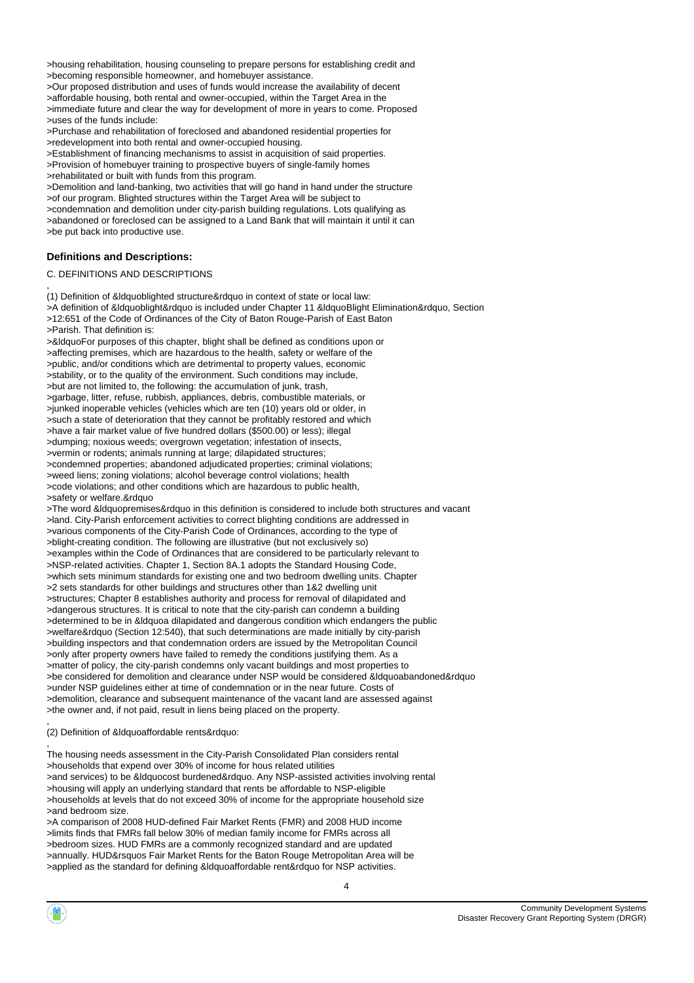>housing rehabilitation, housing counseling to prepare persons for establishing credit and >becoming responsible homeowner, and homebuyer assistance.

>Our proposed distribution and uses of funds would increase the availability of decent >affordable housing, both rental and owner-occupied, within the Target Area in the >immediate future and clear the way for development of more in years to come. Proposed >uses of the funds include:

>Purchase and rehabilitation of foreclosed and abandoned residential properties for >redevelopment into both rental and owner-occupied housing.

>Establishment of financing mechanisms to assist in acquisition of said properties.

>Provision of homebuyer training to prospective buyers of single-family homes >rehabilitated or built with funds from this program.

>Demolition and land-banking, two activities that will go hand in hand under the structure >of our program. Blighted structures within the Target Area will be subject to >condemnation and demolition under city-parish building regulations. Lots qualifying as >abandoned or foreclosed can be assigned to a Land Bank that will maintain it until it can >be put back into productive use.

#### **Definitions and Descriptions:**

#### C. DEFINITIONS AND DESCRIPTIONS

, (1) Definition of &ldquoblighted structure&rdquo in context of state or local law: >A definition of &ldquoblight&rdquo is included under Chapter 11 &ldquoBlight Elimination&rdquo, Section >12:651 of the Code of Ordinances of the City of Baton Rouge-Parish of East Baton >Parish. That definition is: >&ldquoFor purposes of this chapter, blight shall be defined as conditions upon or >affecting premises, which are hazardous to the health, safety or welfare of the >public, and/or conditions which are detrimental to property values, economic >stability, or to the quality of the environment. Such conditions may include,

>but are not limited to, the following: the accumulation of junk, trash, >garbage, litter, refuse, rubbish, appliances, debris, combustible materials, or >junked inoperable vehicles (vehicles which are ten (10) years old or older, in >such a state of deterioration that they cannot be profitably restored and which >have a fair market value of five hundred dollars (\$500.00) or less); illegal >dumping; noxious weeds; overgrown vegetation; infestation of insects, >vermin or rodents; animals running at large; dilapidated structures; >condemned properties; abandoned adjudicated properties; criminal violations; >weed liens; zoning violations; alcohol beverage control violations; health >code violations; and other conditions which are hazardous to public health, >safety or welfare.&rdquo

>The word &ldquopremises&rdquo in this definition is considered to include both structures and vacant >land. City-Parish enforcement activities to correct blighting conditions are addressed in >various components of the City-Parish Code of Ordinances, according to the type of >blight-creating condition. The following are illustrative (but not exclusively so) >examples within the Code of Ordinances that are considered to be particularly relevant to >NSP-related activities. Chapter 1, Section 8A.1 adopts the Standard Housing Code, >which sets minimum standards for existing one and two bedroom dwelling units. Chapter >2 sets standards for other buildings and structures other than 1&2 dwelling unit >structures; Chapter 8 establishes authority and process for removal of dilapidated and >dangerous structures. It is critical to note that the city-parish can condemn a building >determined to be in &ldquoa dilapidated and dangerous condition which endangers the public >welfare&rdquo (Section 12:540), that such determinations are made initially by city-parish >building inspectors and that condemnation orders are issued by the Metropolitan Council >only after property owners have failed to remedy the conditions justifying them. As a >matter of policy, the city-parish condemns only vacant buildings and most properties to >be considered for demolition and clearance under NSP would be considered &ldquoabandoned&rdquo >under NSP guidelines either at time of condemnation or in the near future. Costs of >demolition, clearance and subsequent maintenance of the vacant land are assessed against >the owner and, if not paid, result in liens being placed on the property.

, (2) Definition of &ldquoaffordable rents&rdquo:

The housing needs assessment in the City-Parish Consolidated Plan considers rental >households that expend over 30% of income for hous related utilities >and services) to be &ldquocost burdened&rdquo. Any NSP-assisted activities involving rental >housing will apply an underlying standard that rents be affordable to NSP-eligible >households at levels that do not exceed 30% of income for the appropriate household size >and bedroom size.

>A comparison of 2008 HUD-defined Fair Market Rents (FMR) and 2008 HUD income >limits finds that FMRs fall below 30% of median family income for FMRs across all >bedroom sizes. HUD FMRs are a commonly recognized standard and are updated >annually. HUD&rsquos Fair Market Rents for the Baton Rouge Metropolitan Area will be >applied as the standard for defining &ldquoaffordable rent&rdquo for NSP activities.



,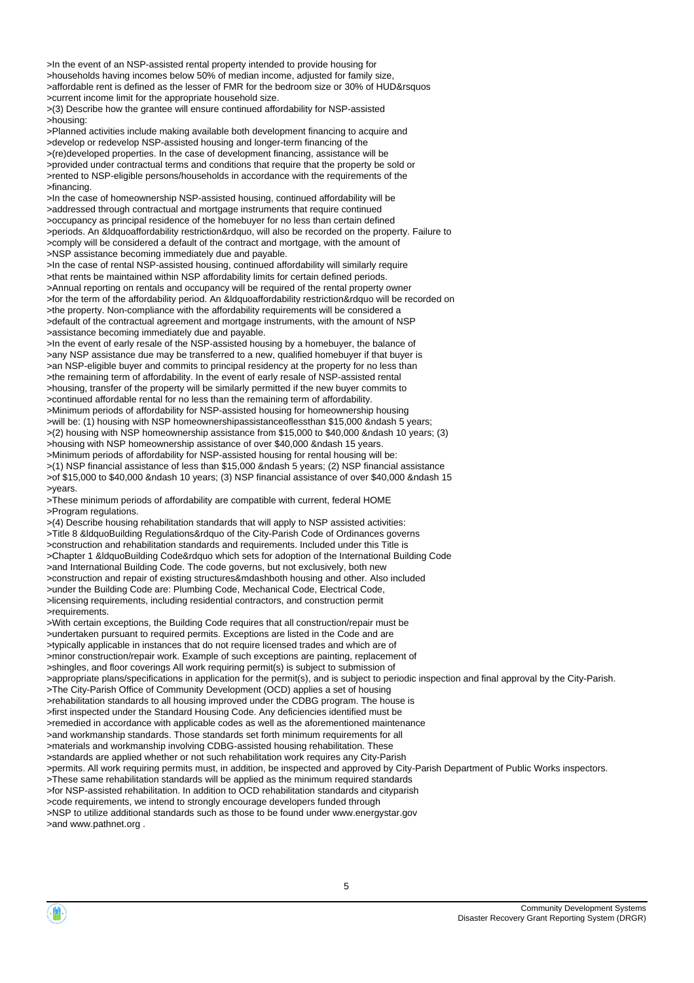>In the event of an NSP-assisted rental property intended to provide housing for >households having incomes below 50% of median income, adjusted for family size, >affordable rent is defined as the lesser of FMR for the bedroom size or 30% of HUD&rsquos >current income limit for the appropriate household size.

>(3) Describe how the grantee will ensure continued affordability for NSP-assisted >housing:

>Planned activities include making available both development financing to acquire and >develop or redevelop NSP-assisted housing and longer-term financing of the >(re)developed properties. In the case of development financing, assistance will be >provided under contractual terms and conditions that require that the property be sold or >rented to NSP-eligible persons/households in accordance with the requirements of the >financing.

>In the case of homeownership NSP-assisted housing, continued affordability will be >addressed through contractual and mortgage instruments that require continued >occupancy as principal residence of the homebuyer for no less than certain defined >periods. An &ldquoaffordability restriction&rdquo, will also be recorded on the property. Failure to >comply will be considered a default of the contract and mortgage, with the amount of >NSP assistance becoming immediately due and payable.

>In the case of rental NSP-assisted housing, continued affordability will similarly require >that rents be maintained within NSP affordability limits for certain defined periods. >Annual reporting on rentals and occupancy will be required of the rental property owner >for the term of the affordability period. An &ldquoaffordability restriction&rdquo will be recorded on >the property. Non-compliance with the affordability requirements will be considered a >default of the contractual agreement and mortgage instruments, with the amount of NSP >assistance becoming immediately due and payable.

>In the event of early resale of the NSP-assisted housing by a homebuyer, the balance of >any NSP assistance due may be transferred to a new, qualified homebuyer if that buyer is >an NSP-eligible buyer and commits to principal residency at the property for no less than >the remaining term of affordability. In the event of early resale of NSP-assisted rental >housing, transfer of the property will be similarly permitted if the new buyer commits to >continued affordable rental for no less than the remaining term of affordability. >Minimum periods of affordability for NSP-assisted housing for homeownership housing

>will be: (1) housing with NSP homeownershipassistanceoflessthan \$15,000 &ndash 5 years; >(2) housing with NSP homeownership assistance from \$15,000 to \$40,000 &ndash 10 years; (3) >housing with NSP homeownership assistance of over \$40,000 &ndash 15 years.

>Minimum periods of affordability for NSP-assisted housing for rental housing will be: >(1) NSP financial assistance of less than \$15,000 &ndash 5 years; (2) NSP financial assistance >of \$15,000 to \$40,000 &ndash 10 years; (3) NSP financial assistance of over \$40,000 &ndash 15 >years.

>These minimum periods of affordability are compatible with current, federal HOME >Program regulations.

>(4) Describe housing rehabilitation standards that will apply to NSP assisted activities: >Title 8 &ldquoBuilding Regulations&rdquo of the City-Parish Code of Ordinances governs >construction and rehabilitation standards and requirements. Included under this Title is >Chapter 1 &ldquoBuilding Code&rdquo which sets for adoption of the International Building Code >and International Building Code. The code governs, but not exclusively, both new >construction and repair of existing structures&mdashboth housing and other. Also included >under the Building Code are: Plumbing Code, Mechanical Code, Electrical Code, >licensing requirements, including residential contractors, and construction permit >requirements.

>With certain exceptions, the Building Code requires that all construction/repair must be >undertaken pursuant to required permits. Exceptions are listed in the Code and are >typically applicable in instances that do not require licensed trades and which are of >minor construction/repair work. Example of such exceptions are painting, replacement of >shingles, and floor coverings All work requiring permit(s) is subject to submission of >appropriate plans/specifications in application for the permit(s), and is subject to periodic inspection and final approval by the City-Parish. >The City-Parish Office of Community Development (OCD) applies a set of housing >rehabilitation standards to all housing improved under the CDBG program. The house is >first inspected under the Standard Housing Code. Any deficiencies identified must be >remedied in accordance with applicable codes as well as the aforementioned maintenance >and workmanship standards. Those standards set forth minimum requirements for all >materials and workmanship involving CDBG-assisted housing rehabilitation. These >standards are applied whether or not such rehabilitation work requires any City-Parish >permits. All work requiring permits must, in addition, be inspected and approved by City-Parish Department of Public Works inspectors. >These same rehabilitation standards will be applied as the minimum required standards >for NSP-assisted rehabilitation. In addition to OCD rehabilitation standards and cityparish >code requirements, we intend to strongly encourage developers funded through >NSP to utilize additional standards such as those to be found under www.energystar.gov >and www.pathnet.org .

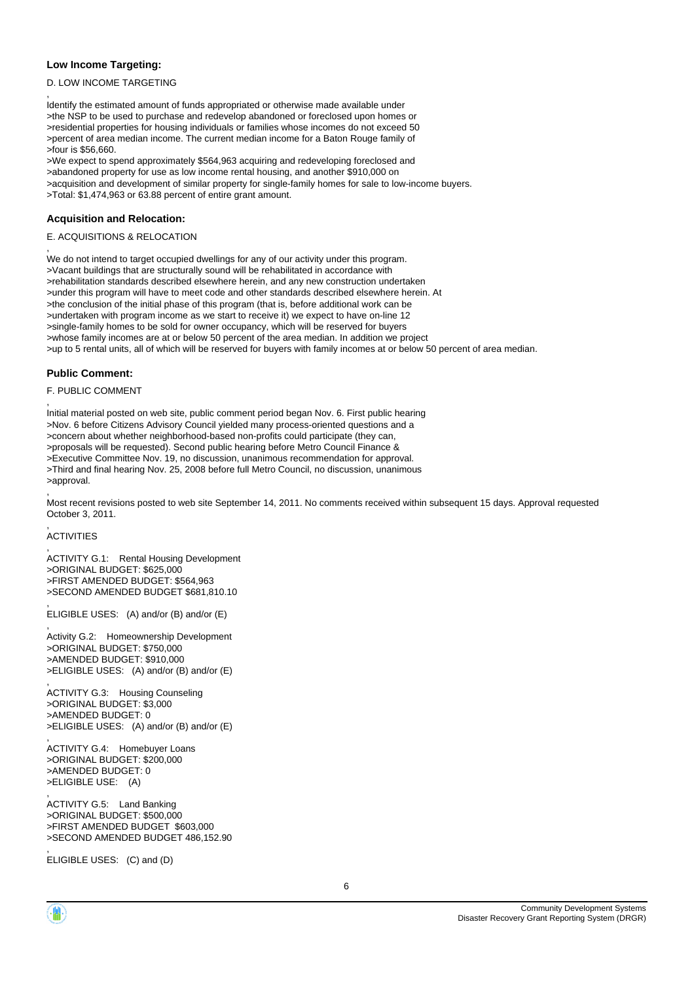#### **Low Income Targeting:**

,

,

,

#### D. LOW INCOME TARGETING

Identify the estimated amount of funds appropriated or otherwise made available under >the NSP to be used to purchase and redevelop abandoned or foreclosed upon homes or >residential properties for housing individuals or families whose incomes do not exceed 50 >percent of area median income. The current median income for a Baton Rouge family of >four is \$56,660.

>We expect to spend approximately \$564,963 acquiring and redeveloping foreclosed and >abandoned property for use as low income rental housing, and another \$910,000 on >acquisition and development of similar property for single-family homes for sale to low-income buyers. >Total: \$1,474,963 or 63.88 percent of entire grant amount.

#### **Acquisition and Relocation:**

#### E. ACQUISITIONS & RELOCATION

We do not intend to target occupied dwellings for any of our activity under this program. >Vacant buildings that are structurally sound will be rehabilitated in accordance with >rehabilitation standards described elsewhere herein, and any new construction undertaken >under this program will have to meet code and other standards described elsewhere herein. At >the conclusion of the initial phase of this program (that is, before additional work can be >undertaken with program income as we start to receive it) we expect to have on-line 12 >single-family homes to be sold for owner occupancy, which will be reserved for buyers >whose family incomes are at or below 50 percent of the area median. In addition we project >up to 5 rental units, all of which will be reserved for buyers with family incomes at or below 50 percent of area median.

#### **Public Comment:**

#### F. PUBLIC COMMENT

Initial material posted on web site, public comment period began Nov. 6. First public hearing >Nov. 6 before Citizens Advisory Council yielded many process-oriented questions and a >concern about whether neighborhood-based non-profits could participate (they can, >proposals will be requested). Second public hearing before Metro Council Finance & >Executive Committee Nov. 19, no discussion, unanimous recommendation for approval. >Third and final hearing Nov. 25, 2008 before full Metro Council, no discussion, unanimous >approval. ,

Most recent revisions posted to web site September 14, 2011. No comments received within subsequent 15 days. Approval requested October 3, 2011.

#### , **ACTIVITIES**

,

,

,

,

ACTIVITY G.1: Rental Housing Development >ORIGINAL BUDGET: \$625,000 >FIRST AMENDED BUDGET: \$564,963 >SECOND AMENDED BUDGET \$681,810.10

ELIGIBLE USES: (A) and/or (B) and/or (E)

, Activity G.2: Homeownership Development >ORIGINAL BUDGET: \$750,000 >AMENDED BUDGET: \$910,000 >ELIGIBLE USES: (A) and/or (B) and/or (E)

ACTIVITY G.3: Housing Counseling >ORIGINAL BUDGET: \$3,000 >AMENDED BUDGET: 0 >ELIGIBLE USES: (A) and/or (B) and/or (E)

ACTIVITY G.4: Homebuyer Loans >ORIGINAL BUDGET: \$200,000 >AMENDED BUDGET: 0 >ELIGIBLE USE: (A) ,

ACTIVITY G.5: Land Banking >ORIGINAL BUDGET: \$500,000 >FIRST AMENDED BUDGET \$603,000 >SECOND AMENDED BUDGET 486,152.90

, ELIGIBLE USES: (C) and (D)

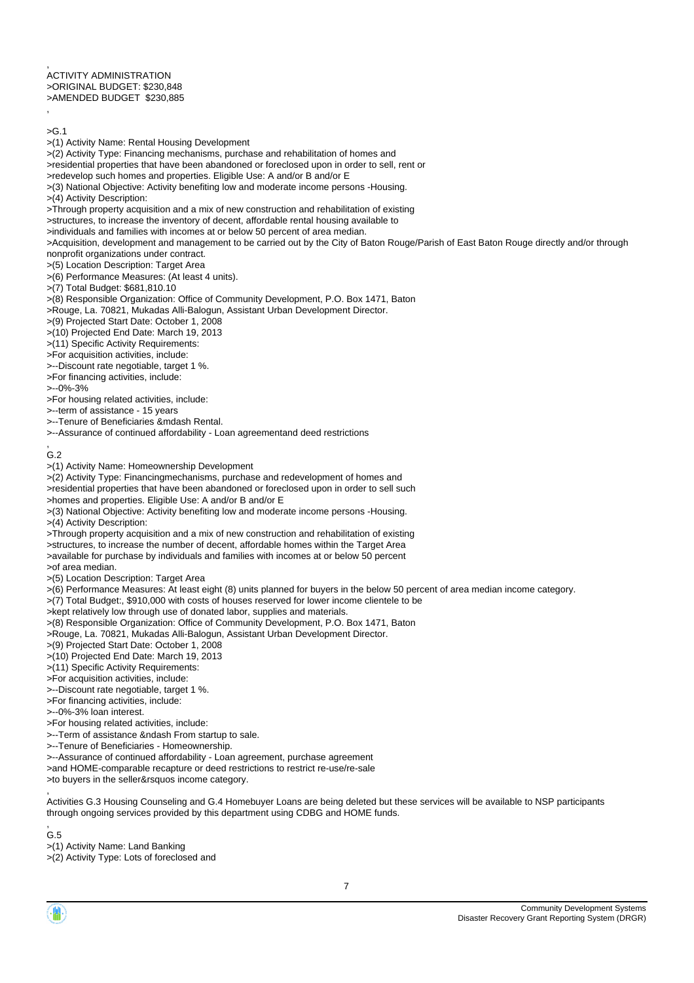, ACTIVITY ADMINISTRATION >ORIGINAL BUDGET: \$230,848 >AMENDED BUDGET \$230,885 ,

 $>G.1$ 

>(1) Activity Name: Rental Housing Development

>(2) Activity Type: Financing mechanisms, purchase and rehabilitation of homes and

>residential properties that have been abandoned or foreclosed upon in order to sell, rent or

>redevelop such homes and properties. Eligible Use: A and/or B and/or E

>(3) National Objective: Activity benefiting low and moderate income persons -Housing.

>(4) Activity Description:

>Through property acquisition and a mix of new construction and rehabilitation of existing

>structures, to increase the inventory of decent, affordable rental housing available to

>individuals and families with incomes at or below 50 percent of area median.

>Acquisition, development and management to be carried out by the City of Baton Rouge/Parish of East Baton Rouge directly and/or through nonprofit organizations under contract.

>(5) Location Description: Target Area

>(6) Performance Measures: (At least 4 units).

>(7) Total Budget: \$681,810.10

>(8) Responsible Organization: Office of Community Development, P.O. Box 1471, Baton

>Rouge, La. 70821, Mukadas Alli-Balogun, Assistant Urban Development Director.

>(9) Projected Start Date: October 1, 2008

>(10) Projected End Date: March 19, 2013

>(11) Specific Activity Requirements:

>For acquisition activities, include:

>--Discount rate negotiable, target 1 %.

>For financing activities, include:

>--0%-3%

>For housing related activities, include:

>--term of assistance - 15 years

>--Tenure of Beneficiaries &mdash Rental.

>--Assurance of continued affordability - Loan agreementand deed restrictions

, G.2

>(1) Activity Name: Homeownership Development

>(2) Activity Type: Financingmechanisms, purchase and redevelopment of homes and

>residential properties that have been abandoned or foreclosed upon in order to sell such

>homes and properties. Eligible Use: A and/or B and/or E

>(3) National Objective: Activity benefiting low and moderate income persons -Housing.

>(4) Activity Description:

>Through property acquisition and a mix of new construction and rehabilitation of existing >structures, to increase the number of decent, affordable homes within the Target Area >available for purchase by individuals and families with incomes at or below 50 percent

>of area median.

>(5) Location Description: Target Area

>(6) Performance Measures: At least eight (8) units planned for buyers in the below 50 percent of area median income category.

>(7) Total Budget:, \$910,000 with costs of houses reserved for lower income clientele to be

>kept relatively low through use of donated labor, supplies and materials.

>(8) Responsible Organization: Office of Community Development, P.O. Box 1471, Baton

>Rouge, La. 70821, Mukadas Alli-Balogun, Assistant Urban Development Director.

>(9) Projected Start Date: October 1, 2008

>(10) Projected End Date: March 19, 2013

>(11) Specific Activity Requirements:

>For acquisition activities, include:

>--Discount rate negotiable, target 1 %.

>For financing activities, include:

>--0%-3% loan interest.

>For housing related activities, include:

>--Term of assistance &ndash From startup to sale.

>--Tenure of Beneficiaries - Homeownership.

>--Assurance of continued affordability - Loan agreement, purchase agreement

>and HOME-comparable recapture or deed restrictions to restrict re-use/re-sale

>to buyers in the seller&rsquos income category. ,

Activities G.3 Housing Counseling and G.4 Homebuyer Loans are being deleted but these services will be available to NSP participants through ongoing services provided by this department using CDBG and HOME funds.

, G.5

>(1) Activity Name: Land Banking

>(2) Activity Type: Lots of foreclosed and

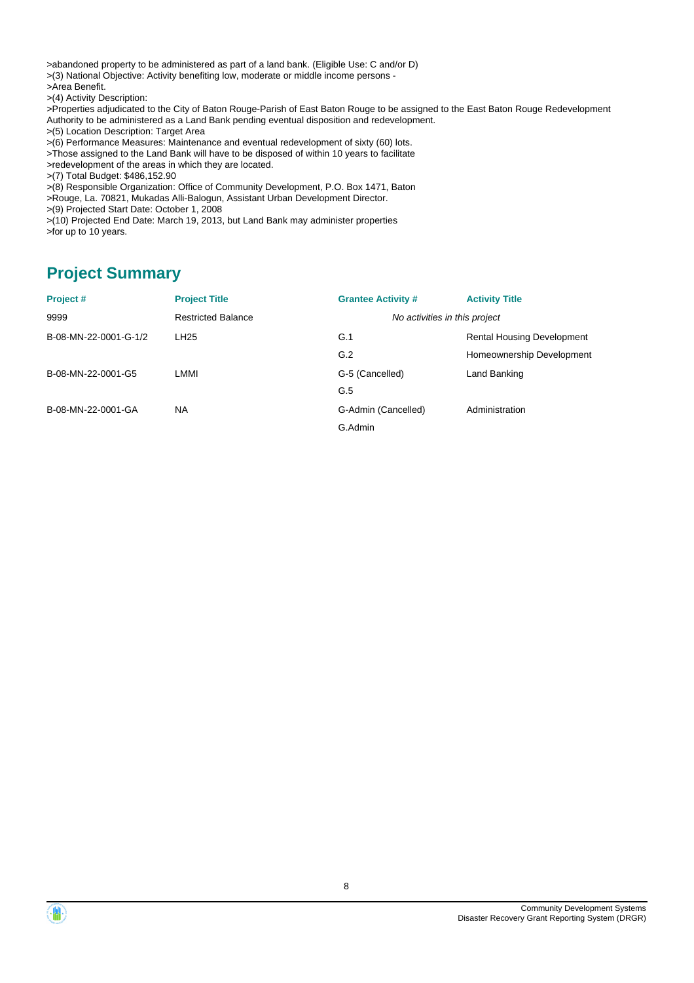>abandoned property to be administered as part of a land bank. (Eligible Use: C and/or D) >(3) National Objective: Activity benefiting low, moderate or middle income persons - >Area Benefit.

>(4) Activity Description:

>Properties adjudicated to the City of Baton Rouge-Parish of East Baton Rouge to be assigned to the East Baton Rouge Redevelopment Authority to be administered as a Land Bank pending eventual disposition and redevelopment.

>(5) Location Description: Target Area

>(6) Performance Measures: Maintenance and eventual redevelopment of sixty (60) lots.

>Those assigned to the Land Bank will have to be disposed of within 10 years to facilitate

>redevelopment of the areas in which they are located.

>(7) Total Budget: \$486,152.90

>(8) Responsible Organization: Office of Community Development, P.O. Box 1471, Baton

- >Rouge, La. 70821, Mukadas Alli-Balogun, Assistant Urban Development Director.
- >(9) Projected Start Date: October 1, 2008

>(10) Projected End Date: March 19, 2013, but Land Bank may administer properties >for up to 10 years.

## **Project Summary**

| <b>Project Title</b>      | <b>Grantee Activity #</b>     | <b>Activity Title</b>             |
|---------------------------|-------------------------------|-----------------------------------|
| <b>Restricted Balance</b> | No activities in this project |                                   |
| LH <sub>25</sub>          | G.1                           | <b>Rental Housing Development</b> |
|                           | G.2                           | Homeownership Development         |
| LMMI                      | G-5 (Cancelled)               | Land Banking                      |
|                           | G.5                           |                                   |
| <b>NA</b>                 | G-Admin (Cancelled)           | Administration                    |
|                           | G.Admin                       |                                   |
|                           |                               |                                   |



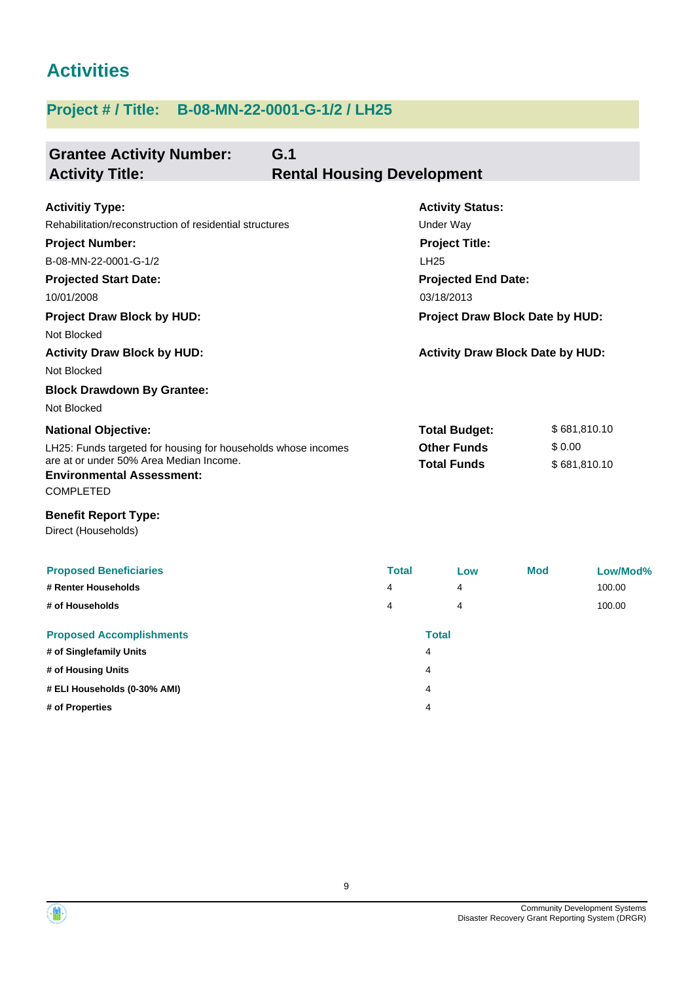# **Activities**

## **Project # / Title: B-08-MN-22-0001-G-1/2 / LH25**

| <b>Grantee Activity Number:</b><br><b>Activity Title:</b>                                                                                                                                                                                                                                                | G.1<br><b>Rental Housing Development</b> |                                                                                                                                                                                                               |            |                              |
|----------------------------------------------------------------------------------------------------------------------------------------------------------------------------------------------------------------------------------------------------------------------------------------------------------|------------------------------------------|---------------------------------------------------------------------------------------------------------------------------------------------------------------------------------------------------------------|------------|------------------------------|
| <b>Activitiy Type:</b><br>Rehabilitation/reconstruction of residential structures<br><b>Project Number:</b><br>B-08-MN-22-0001-G-1/2<br><b>Projected Start Date:</b><br>10/01/2008<br><b>Project Draw Block by HUD:</b><br>Not Blocked<br><b>Activity Draw Block by HUD:</b><br>Not Blocked              |                                          | <b>Activity Status:</b><br><b>Under Way</b><br><b>Project Title:</b><br><b>LH25</b><br><b>Projected End Date:</b><br>03/18/2013<br>Project Draw Block Date by HUD:<br><b>Activity Draw Block Date by HUD:</b> |            |                              |
| <b>Block Drawdown By Grantee:</b><br>Not Blocked<br><b>National Objective:</b><br>LH25: Funds targeted for housing for households whose incomes<br>are at or under 50% Area Median Income.<br><b>Environmental Assessment:</b><br><b>COMPLETED</b><br><b>Benefit Report Type:</b><br>Direct (Households) |                                          | <b>Total Budget:</b><br><b>Other Funds</b><br><b>Total Funds</b>                                                                                                                                              | \$0.00     | \$681,810.10<br>\$681,810.10 |
| <b>Proposed Beneficiaries</b><br># Renter Households<br># of Households<br><b>Proposed Accomplishments</b><br># of Singlefamily Units<br># of Housing Units                                                                                                                                              | <b>Total</b><br>4<br>4                   | Low<br>4<br>4<br><b>Total</b><br>4<br>4                                                                                                                                                                       | <b>Mod</b> | Low/Mod%<br>100.00<br>100.00 |

**# ELI Households (0-30% AMI)** 4

**# of Properties** 4



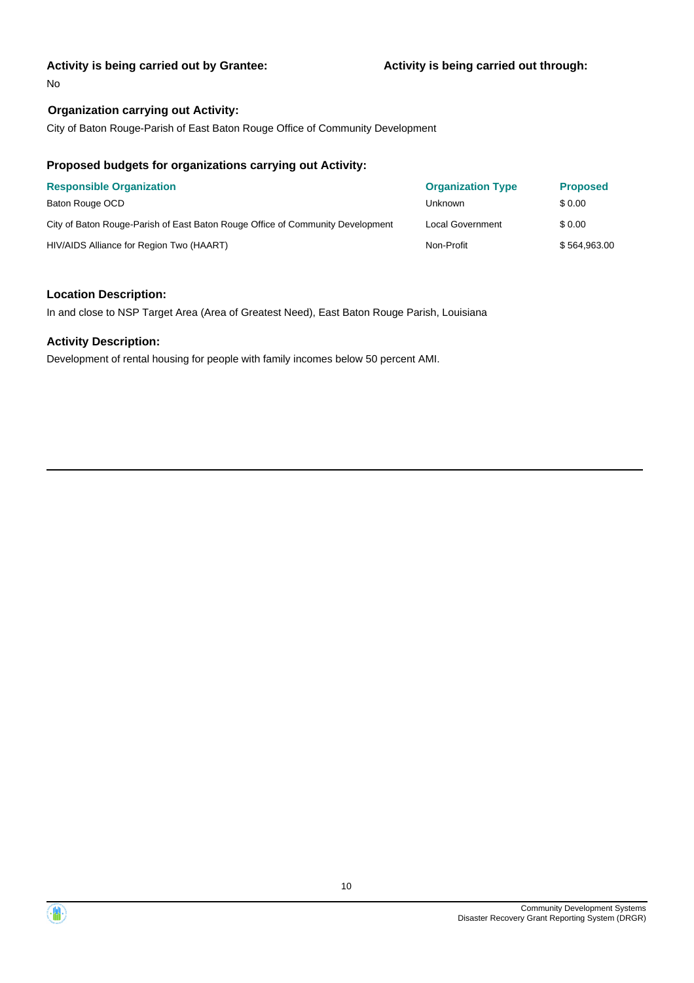#### **Activity is being carried out by Grantee:**

No

### **Organization carrying out Activity:**

City of Baton Rouge-Parish of East Baton Rouge Office of Community Development

#### **Proposed budgets for organizations carrying out Activity:**

| <b>Responsible Organization</b>                                                | <b>Organization Type</b> | <b>Proposed</b> |
|--------------------------------------------------------------------------------|--------------------------|-----------------|
| Baton Rouge OCD                                                                | Unknown                  | \$ 0.00         |
| City of Baton Rouge-Parish of East Baton Rouge Office of Community Development | Local Government         | \$ 0.00         |
| HIV/AIDS Alliance for Region Two (HAART)                                       | Non-Profit               | \$564,963.00    |

#### **Location Description:**

In and close to NSP Target Area (Area of Greatest Need), East Baton Rouge Parish, Louisiana

#### **Activity Description:**

Development of rental housing for people with family incomes below 50 percent AMI.

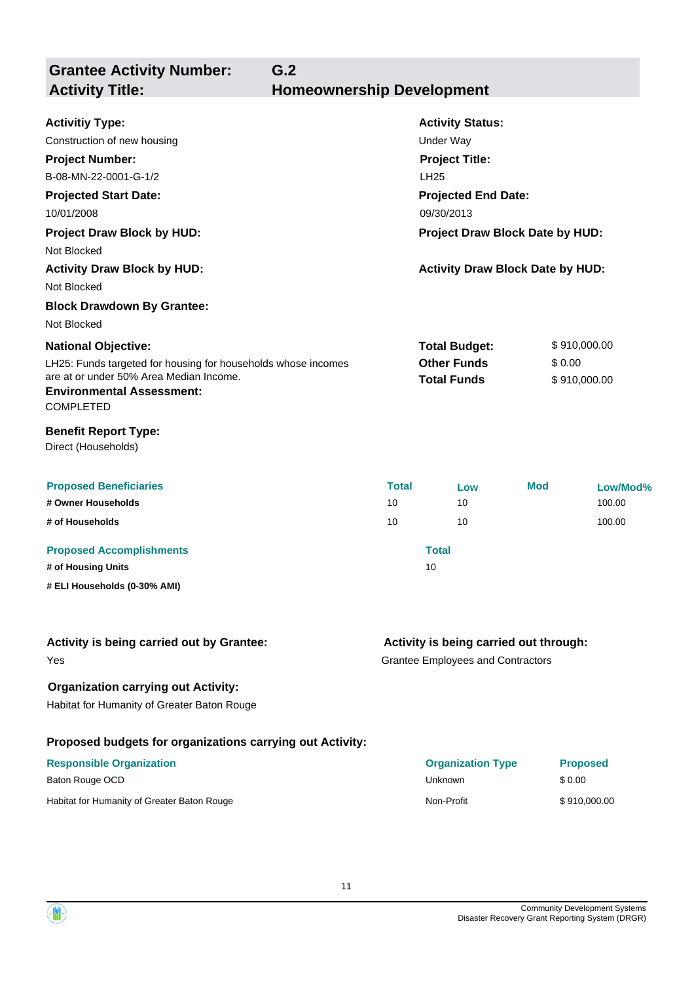**Grantee Activity Number: G.2 Activity Title: Homeownership Development**

| <b>Activitiy Type:</b>                                                                                   |                                 | <b>Activity Status:</b>                 |              |              |  |
|----------------------------------------------------------------------------------------------------------|---------------------------------|-----------------------------------------|--------------|--------------|--|
| Construction of new housing                                                                              |                                 | <b>Under Way</b>                        |              |              |  |
| <b>Project Number:</b>                                                                                   |                                 | <b>Project Title:</b>                   |              |              |  |
| B-08-MN-22-0001-G-1/2                                                                                    |                                 | <b>LH25</b>                             |              |              |  |
| <b>Projected Start Date:</b>                                                                             |                                 | <b>Projected End Date:</b>              |              |              |  |
| 10/01/2008                                                                                               |                                 | 09/30/2013                              |              |              |  |
| <b>Project Draw Block by HUD:</b>                                                                        | Project Draw Block Date by HUD: |                                         |              |              |  |
| Not Blocked                                                                                              |                                 |                                         |              |              |  |
| <b>Activity Draw Block by HUD:</b>                                                                       |                                 | <b>Activity Draw Block Date by HUD:</b> |              |              |  |
| Not Blocked                                                                                              |                                 |                                         |              |              |  |
| <b>Block Drawdown By Grantee:</b>                                                                        |                                 |                                         |              |              |  |
| Not Blocked                                                                                              |                                 |                                         |              |              |  |
| <b>National Objective:</b>                                                                               |                                 | <b>Total Budget:</b>                    | \$910,000.00 |              |  |
| LH25: Funds targeted for housing for households whose incomes<br>are at or under 50% Area Median Income. |                                 | <b>Other Funds</b>                      | \$0.00       |              |  |
| <b>Environmental Assessment:</b><br><b>COMPLETED</b>                                                     |                                 | <b>Total Funds</b>                      |              | \$910,000.00 |  |
| <b>Benefit Report Type:</b><br>Direct (Households)                                                       |                                 |                                         |              |              |  |
| <b>Proposed Beneficiaries</b>                                                                            | <b>Total</b>                    | Low                                     | <b>Mod</b>   | Low/Mod%     |  |
| # Owner Households                                                                                       | 10                              | 10                                      |              | 100.00       |  |
| # of Households                                                                                          | 10                              | 10                                      |              | 100.00       |  |
| <b>Proposed Accomplishments</b>                                                                          |                                 | <b>Total</b>                            |              |              |  |
| # of Housing Units                                                                                       |                                 | 10                                      |              |              |  |
| # ELI Households (0-30% AMI)                                                                             |                                 |                                         |              |              |  |
|                                                                                                          |                                 |                                         |              |              |  |
| Activity is being carried out by Grantee:                                                                |                                 | Activity is being carried out through:  |              |              |  |

Yes

## **Activity is being carried out through:**

Grantee Employees and Contractors

## **Organization carrying out Activity:**

Habitat for Humanity of Greater Baton Rouge

## **Proposed budgets for organizations carrying out Activity:**

| <b>Responsible Organization</b>             | <b>Organization Type</b> | <b>Proposed</b> |
|---------------------------------------------|--------------------------|-----------------|
| Baton Rouge OCD                             | Unknown                  | \$ 0.00         |
| Habitat for Humanity of Greater Baton Rouge | Non-Profit               | \$910,000.00    |

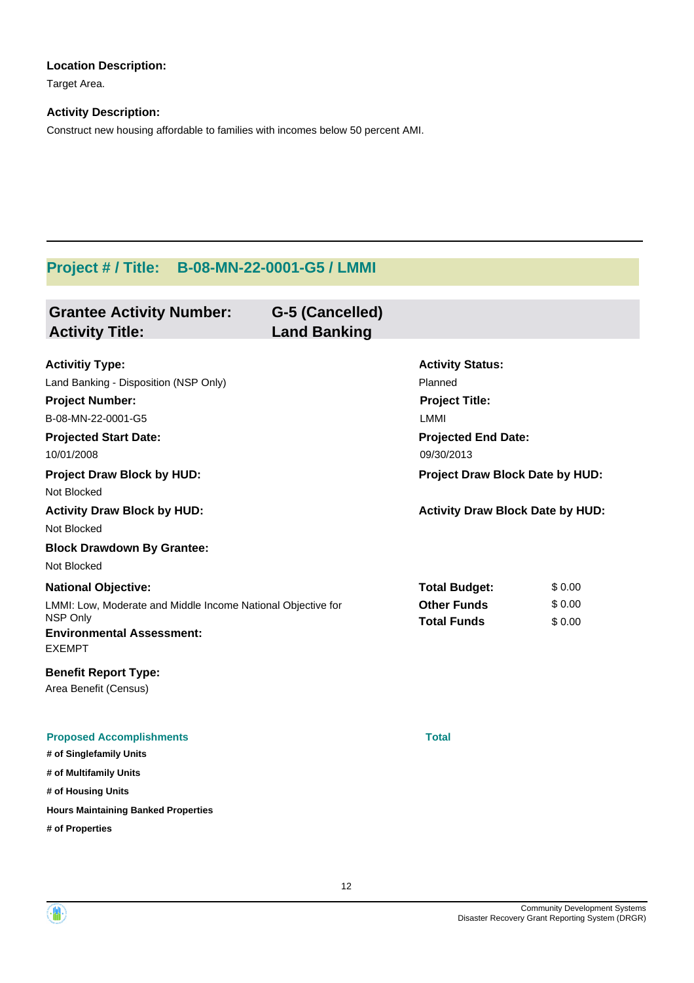### **Location Description:**

Target Area.

### **Activity Description:**

Construct new housing affordable to families with incomes below 50 percent AMI.

## **Project # / Title: B-08-MN-22-0001-G5 / LMMI**

| <b>Grantee Activity Number:</b><br><b>Activity Title:</b>                                                                                                                                                                                                                                                   | G-5 (Cancelled)<br><b>Land Banking</b> |                                                                                                                                                                                               |                            |
|-------------------------------------------------------------------------------------------------------------------------------------------------------------------------------------------------------------------------------------------------------------------------------------------------------------|----------------------------------------|-----------------------------------------------------------------------------------------------------------------------------------------------------------------------------------------------|----------------------------|
| <b>Activitiy Type:</b><br>Land Banking - Disposition (NSP Only)<br><b>Project Number:</b><br>B-08-MN-22-0001-G5<br><b>Projected Start Date:</b><br>10/01/2008<br><b>Project Draw Block by HUD:</b><br>Not Blocked<br><b>Activity Draw Block by HUD:</b><br>Not Blocked<br><b>Block Drawdown By Grantee:</b> |                                        | <b>Activity Status:</b><br>Planned<br><b>Project Title:</b><br>LMMI<br><b>Projected End Date:</b><br>09/30/2013<br>Project Draw Block Date by HUD:<br><b>Activity Draw Block Date by HUD:</b> |                            |
| Not Blocked<br><b>National Objective:</b><br>LMMI: Low, Moderate and Middle Income National Objective for<br>NSP Only<br><b>Environmental Assessment:</b><br><b>EXEMPT</b><br><b>Benefit Report Type:</b>                                                                                                   |                                        | <b>Total Budget:</b><br><b>Other Funds</b><br><b>Total Funds</b>                                                                                                                              | \$0.00<br>\$0.00<br>\$0.00 |
| Area Benefit (Census)<br><b>Proposed Accomplishments</b><br># of Singlefamily Units<br># of Multifamily Units<br># of Housing Units<br><b>Hours Maintaining Banked Properties</b><br># of Properties                                                                                                        |                                        | <b>Total</b>                                                                                                                                                                                  |                            |

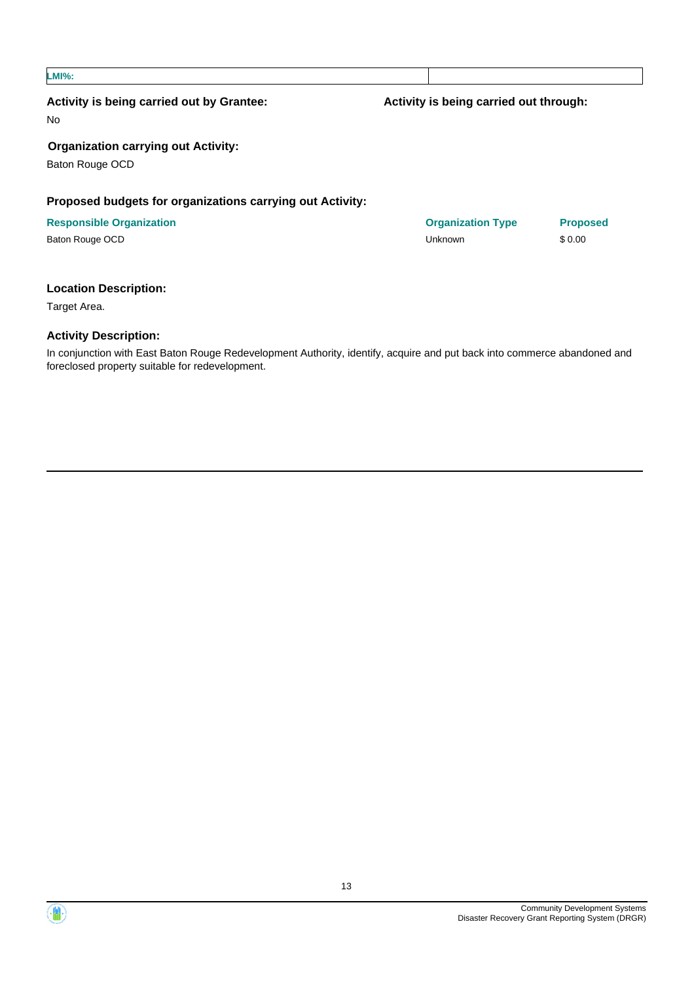| Activity is being carried out by Grantee:<br><b>No</b>        | Activity is being carried out through: |                 |
|---------------------------------------------------------------|----------------------------------------|-----------------|
| <b>Organization carrying out Activity:</b><br>Baton Rouge OCD |                                        |                 |
| Proposed budgets for organizations carrying out Activity:     |                                        |                 |
| <b>Responsible Organization</b>                               | <b>Organization Type</b>               | <b>Proposed</b> |
| Baton Rouge OCD                                               | Unknown                                | \$0.00          |

### **Location Description:**

Target Area.

#### **Activity Description:**

In conjunction with East Baton Rouge Redevelopment Authority, identify, acquire and put back into commerce abandoned and foreclosed property suitable for redevelopment.

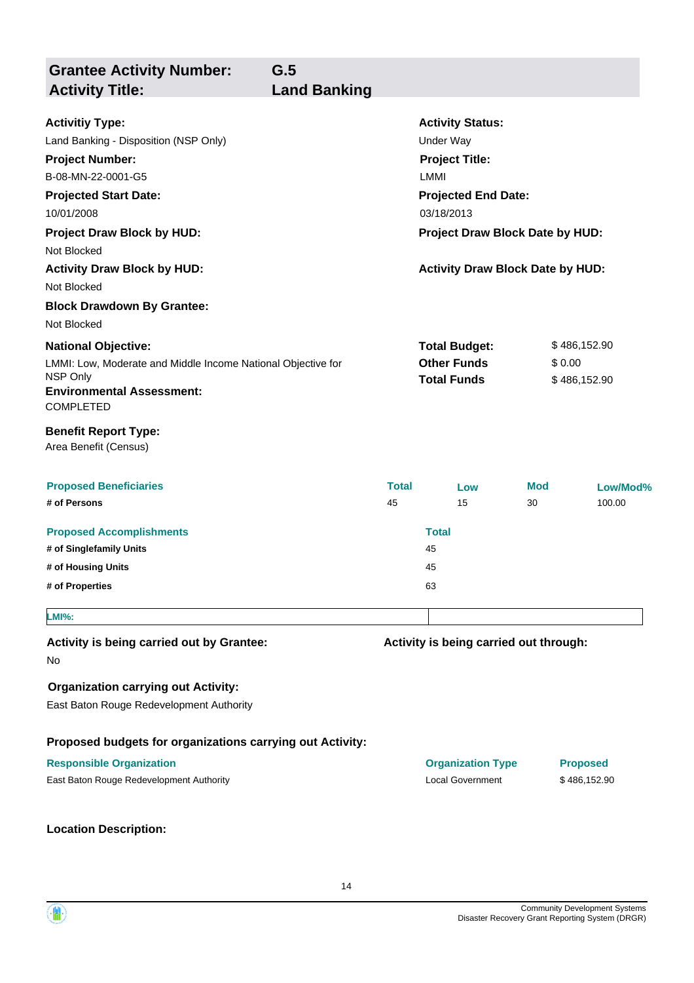| <b>Grantee Activity Number:</b><br><b>Activity Title:</b>                                                                                                                                          | G.5<br><b>Land Banking</b> |                    |                                                                                                                                                             |                  |                                        |                    |
|----------------------------------------------------------------------------------------------------------------------------------------------------------------------------------------------------|----------------------------|--------------------|-------------------------------------------------------------------------------------------------------------------------------------------------------------|------------------|----------------------------------------|--------------------|
| <b>Activitiy Type:</b><br>Land Banking - Disposition (NSP Only)<br><b>Project Number:</b><br>B-08-MN-22-0001-G5<br><b>Projected Start Date:</b><br>10/01/2008<br><b>Project Draw Block by HUD:</b> |                            |                    | <b>Activity Status:</b><br><b>Under Way</b><br><b>Project Title:</b><br>LMMI<br><b>Projected End Date:</b><br>03/18/2013<br>Project Draw Block Date by HUD: |                  |                                        |                    |
| Not Blocked<br><b>Activity Draw Block by HUD:</b><br>Not Blocked<br><b>Block Drawdown By Grantee:</b>                                                                                              |                            |                    | <b>Activity Draw Block Date by HUD:</b>                                                                                                                     |                  |                                        |                    |
| Not Blocked<br><b>National Objective:</b><br>LMMI: Low, Moderate and Middle Income National Objective for<br>NSP Only<br><b>Environmental Assessment:</b><br><b>COMPLETED</b>                      |                            |                    | <b>Total Budget:</b><br><b>Other Funds</b><br><b>Total Funds</b>                                                                                            |                  | \$486,152.90<br>\$0.00<br>\$486,152.90 |                    |
| <b>Benefit Report Type:</b><br>Area Benefit (Census)                                                                                                                                               |                            |                    |                                                                                                                                                             |                  |                                        |                    |
| <b>Proposed Beneficiaries</b><br># of Persons                                                                                                                                                      |                            | <b>Total</b><br>45 | Low<br>15                                                                                                                                                   | <b>Mod</b><br>30 |                                        | Low/Mod%<br>100.00 |
| <b>Proposed Accomplishments</b><br># of Singlefamily Units<br># of Housing Units<br># of Properties                                                                                                |                            |                    | <b>Total</b><br>45<br>45<br>63                                                                                                                              |                  |                                        |                    |
| <b>LMI%:</b>                                                                                                                                                                                       |                            |                    |                                                                                                                                                             |                  |                                        |                    |
| Activity is being carried out by Grantee:<br>No                                                                                                                                                    |                            |                    | Activity is being carried out through:                                                                                                                      |                  |                                        |                    |
| <b>Organization carrying out Activity:</b><br>East Baton Rouge Redevelopment Authority                                                                                                             |                            |                    |                                                                                                                                                             |                  |                                        |                    |
| Proposed budgets for organizations carrying out Activity:                                                                                                                                          |                            |                    |                                                                                                                                                             |                  |                                        |                    |
| <b>Responsible Organization</b><br>East Baton Rouge Redevelopment Authority                                                                                                                        |                            |                    | <b>Organization Type</b><br><b>Local Government</b>                                                                                                         |                  | <b>Proposed</b><br>\$486,152.90        |                    |
| <b>Location Description:</b>                                                                                                                                                                       |                            |                    |                                                                                                                                                             |                  |                                        |                    |

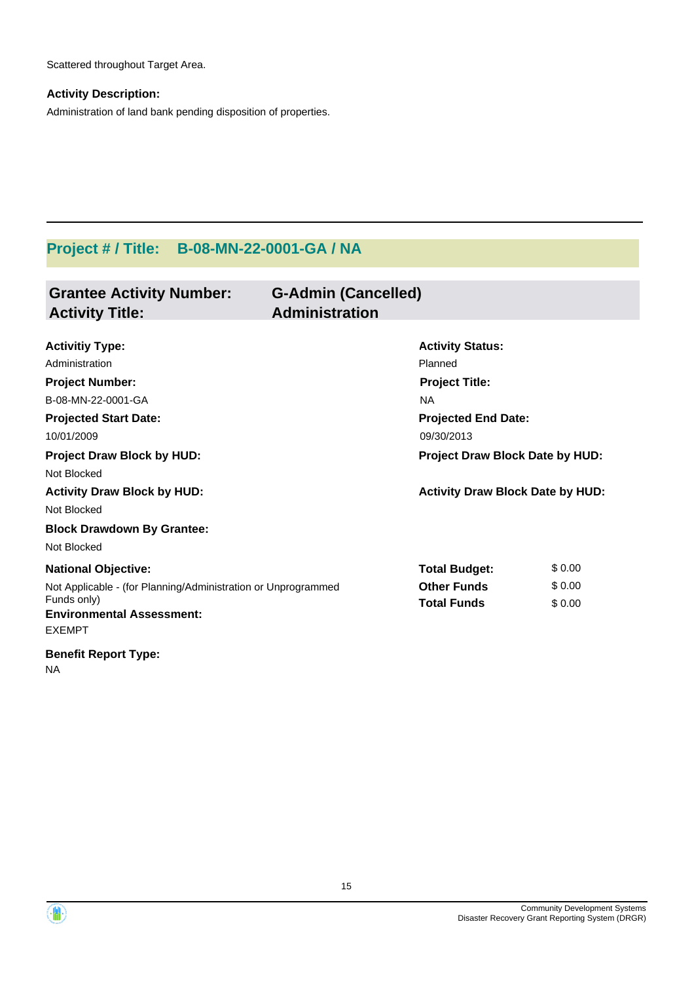Scattered throughout Target Area.

## **Activity Description:**

Administration of land bank pending disposition of properties.

## **Project # / Title: B-08-MN-22-0001-GA / NA**

| <b>Grantee Activity Number:</b><br><b>Activity Title:</b>        | <b>G-Admin (Cancelled)</b><br><b>Administration</b> |                                         |
|------------------------------------------------------------------|-----------------------------------------------------|-----------------------------------------|
| <b>Activitiy Type:</b>                                           | <b>Activity Status:</b>                             |                                         |
| Administration                                                   | Planned                                             |                                         |
| <b>Project Number:</b>                                           | <b>Project Title:</b>                               |                                         |
| B-08-MN-22-0001-GA                                               | <b>NA</b>                                           |                                         |
| <b>Projected Start Date:</b>                                     | <b>Projected End Date:</b>                          |                                         |
| 10/01/2009                                                       | 09/30/2013                                          |                                         |
| <b>Project Draw Block by HUD:</b>                                |                                                     | Project Draw Block Date by HUD:         |
| Not Blocked                                                      |                                                     |                                         |
| <b>Activity Draw Block by HUD:</b>                               |                                                     | <b>Activity Draw Block Date by HUD:</b> |
| Not Blocked                                                      |                                                     |                                         |
| <b>Block Drawdown By Grantee:</b>                                |                                                     |                                         |
| Not Blocked                                                      |                                                     |                                         |
| <b>National Objective:</b>                                       | <b>Total Budget:</b>                                | \$0.00                                  |
| Not Applicable - (for Planning/Administration or Unprogrammed    | <b>Other Funds</b>                                  | \$0.00                                  |
| Funds only)<br><b>Environmental Assessment:</b><br><b>EXEMPT</b> | <b>Total Funds</b>                                  | \$0.00                                  |
| <b>Benefit Report Type:</b>                                      |                                                     |                                         |

NA

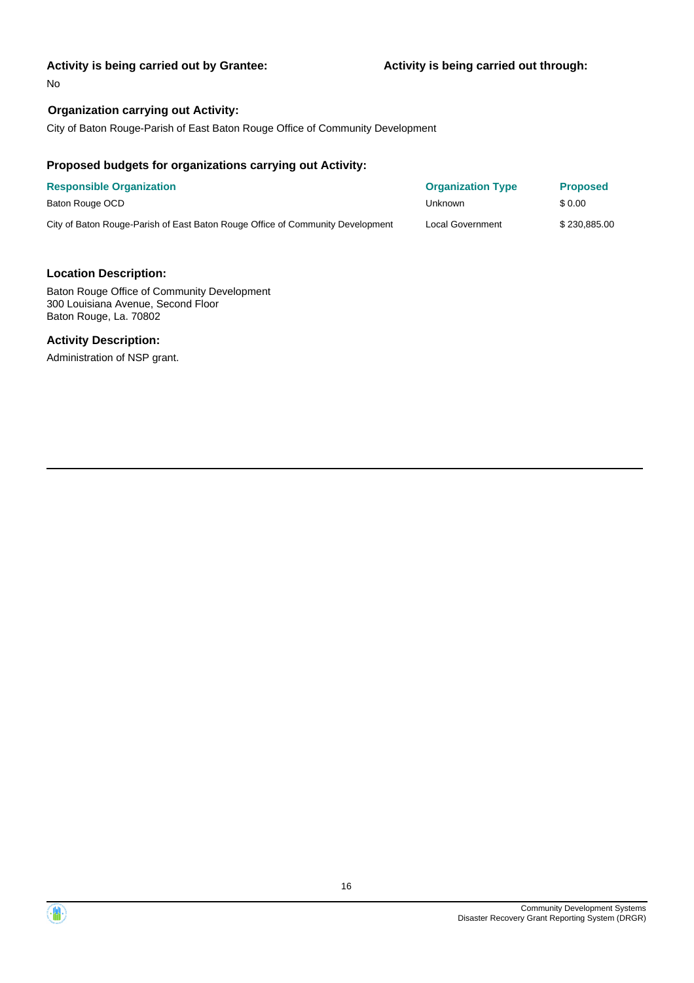#### **Activity is being carried out by Grantee:**

No

#### **Organization carrying out Activity:**

City of Baton Rouge-Parish of East Baton Rouge Office of Community Development

#### **Proposed budgets for organizations carrying out Activity:**

| <b>Responsible Organization</b>                                                | <b>Organization Type</b> | <b>Proposed</b> |
|--------------------------------------------------------------------------------|--------------------------|-----------------|
| Baton Rouge OCD                                                                | Unknown                  | \$ 0.00         |
| City of Baton Rouge-Parish of East Baton Rouge Office of Community Development | Local Government         | \$230,885,00    |

#### **Location Description:**

Baton Rouge Office of Community Development 300 Louisiana Avenue, Second Floor Baton Rouge, La. 70802

#### **Activity Description:**

Administration of NSP grant.



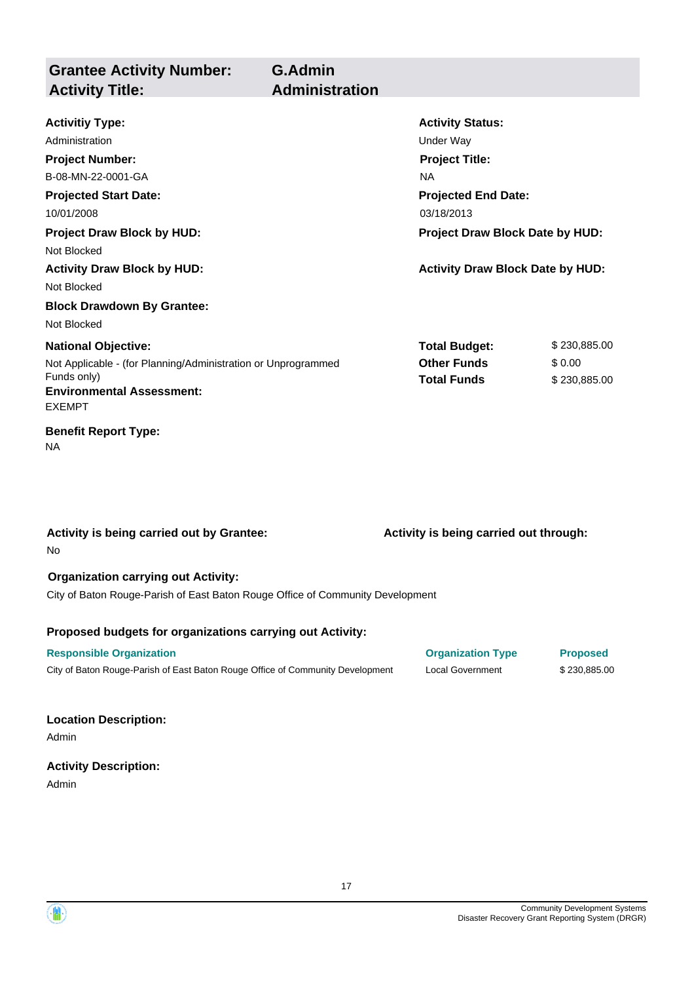| <b>Grantee Activity Number:</b><br><b>Activity Title:</b>                                                                                                                   | <b>G.Admin</b><br><b>Administration</b> |                                                                                                                                                           |                                        |
|-----------------------------------------------------------------------------------------------------------------------------------------------------------------------------|-----------------------------------------|-----------------------------------------------------------------------------------------------------------------------------------------------------------|----------------------------------------|
| <b>Activitiy Type:</b><br>Administration<br><b>Project Number:</b><br>B-08-MN-22-0001-GA<br><b>Projected Start Date:</b><br>10/01/2008<br><b>Project Draw Block by HUD:</b> |                                         | <b>Activity Status:</b><br>Under Way<br><b>Project Title:</b><br><b>NA</b><br><b>Projected End Date:</b><br>03/18/2013<br>Project Draw Block Date by HUD: |                                        |
| Not Blocked<br><b>Activity Draw Block by HUD:</b><br>Not Blocked<br><b>Block Drawdown By Grantee:</b><br>Not Blocked                                                        |                                         | <b>Activity Draw Block Date by HUD:</b>                                                                                                                   |                                        |
| <b>National Objective:</b><br>Not Applicable - (for Planning/Administration or Unprogrammed<br>Funds only)<br><b>Environmental Assessment:</b><br><b>EXEMPT</b>             |                                         | <b>Total Budget:</b><br><b>Other Funds</b><br><b>Total Funds</b>                                                                                          | \$230,885.00<br>\$0.00<br>\$230,885.00 |
| <b>Benefit Report Type:</b><br><b>NA</b>                                                                                                                                    |                                         |                                                                                                                                                           |                                        |
| Activity is being carried out by Grantee:<br>No                                                                                                                             |                                         | Activity is being carried out through:                                                                                                                    |                                        |

### **Organization carrying out Activity:**

City of Baton Rouge-Parish of East Baton Rouge Office of Community Development

### **Proposed budgets for organizations carrying out Activity:**

| <b>Responsible Organization</b>                                                | <b>Organization Type</b> | <b>Proposed</b> |
|--------------------------------------------------------------------------------|--------------------------|-----------------|
| City of Baton Rouge-Parish of East Baton Rouge Office of Community Development | Local Government         | \$230,885.00    |

### **Location Description:**

Admin

## **Activity Description:**

Admin